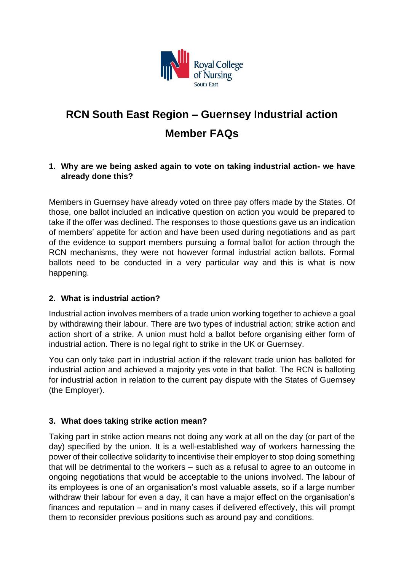

# **[RCN South East Region](https://www.rcn.org.uk/northernireland/get-involved/ballot/ballot-faqs) – Guernsey Industrial action Member FAQs**

#### **1. Why are we being asked again to vote on taking industrial action- we have already done this?**

Members in Guernsey have already voted on three pay offers made by the States. Of those, one ballot included an indicative question on action you would be prepared to take if the offer was declined. The responses to those questions gave us an indication of members' appetite for action and have been used during negotiations and as part of the evidence to support members pursuing a formal ballot for action through the RCN mechanisms, they were not however formal industrial action ballots. Formal ballots need to be conducted in a very particular way and this is what is now happening.

#### **2. What is industrial action?**

Industrial action involves members of a trade union working together to achieve a goal by withdrawing their labour. There are two types of industrial action; strike action and action short of a strike. A union must hold a ballot before organising either form of industrial action. There is no legal right to strike in the UK or Guernsey.

You can only take part in industrial action if the relevant trade union has balloted for industrial action and achieved a majority yes vote in that ballot. The RCN is balloting for industrial action in relation to the current pay dispute with the States of Guernsey (the Employer).

#### **3. What does taking strike action mean?**

Taking part in strike action means not doing any work at all on the day (or part of the day) specified by the union. It is a well-established way of workers harnessing the power of their collective solidarity to incentivise their employer to stop doing something that will be detrimental to the workers – such as a refusal to agree to an outcome in ongoing negotiations that would be acceptable to the unions involved. The labour of its employees is one of an organisation's most valuable assets, so if a large number withdraw their labour for even a day, it can have a major effect on the organisation's finances and reputation – and in many cases if delivered effectively, this will prompt them to reconsider previous positions such as around pay and conditions.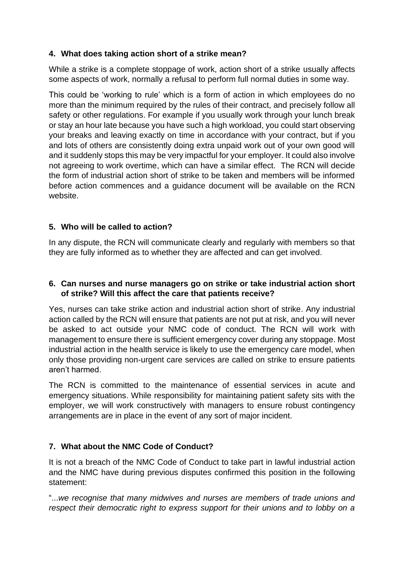## **4. What does taking action short of a strike mean?**

While a strike is a complete stoppage of work, action short of a strike usually affects some aspects of work, normally a refusal to perform full normal duties in some way.

This could be 'working to rule' which is a form of action in which employees do no more than the minimum required by the rules of their contract, and precisely follow all safety or other regulations. For example if you usually work through your lunch break or stay an hour late because you have such a high workload, you could start observing your breaks and leaving exactly on time in accordance with your contract, but if you and lots of others are consistently doing extra unpaid work out of your own good will and it suddenly stops this may be very impactful for your employer. It could also involve not agreeing to work overtime, which can have a similar effect. The RCN will decide the form of industrial action short of strike to be taken and members will be informed before action commences and a guidance document will be available on the RCN website.

## **5. Who will be called to action?**

In any dispute, the RCN will communicate clearly and regularly with members so that they are fully informed as to whether they are affected and can get involved.

#### **6. Can nurses and nurse managers go on strike or take industrial action short of strike? Will this affect the care that patients receive?**

Yes, nurses can take strike action and industrial action short of strike. Any industrial action called by the RCN will ensure that patients are not put at risk, and you will never be asked to act outside your NMC code of conduct. The RCN will work with management to ensure there is sufficient emergency cover during any stoppage. Most industrial action in the health service is likely to use the emergency care model, when only those providing non-urgent care services are called on strike to ensure patients aren't harmed.

The RCN is committed to the maintenance of essential services in acute and emergency situations. While responsibility for maintaining patient safety sits with the employer, we will work constructively with managers to ensure robust contingency arrangements are in place in the event of any sort of major incident.

# **7. What about the NMC Code of Conduct?**

It is not a breach of the NMC Code of Conduct to take part in lawful industrial action and the NMC have during previous disputes confirmed this position in the following statement:

"...*we recognise that many midwives and nurses are members of trade unions and respect their democratic right to express support for their unions and to lobby on a*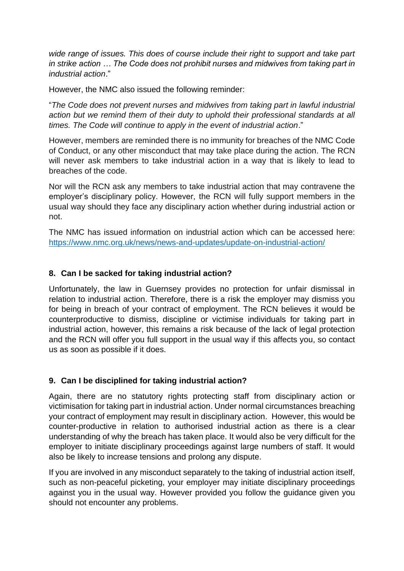*wide range of issues. This does of course include their right to support and take part in strike action … The Code does not prohibit nurses and midwives from taking part in industrial action*."

However, the NMC also issued the following reminder:

"*The Code does not prevent nurses and midwives from taking part in lawful industrial action but we remind them of their duty to uphold their professional standards at all times. The Code will continue to apply in the event of industrial action*."

However, members are reminded there is no immunity for breaches of the NMC Code of Conduct, or any other misconduct that may take place during the action. The RCN will never ask members to take industrial action in a way that is likely to lead to breaches of the code.

Nor will the RCN ask any members to take industrial action that may contravene the employer's disciplinary policy. However, the RCN will fully support members in the usual way should they face any disciplinary action whether during industrial action or not.

The NMC has issued information on industrial action which can be accessed here: <https://www.nmc.org.uk/news/news-and-updates/update-on-industrial-action/>

#### **8. Can I be sacked for taking industrial action?**

Unfortunately, the law in Guernsey provides no protection for unfair dismissal in relation to industrial action. Therefore, there is a risk the employer may dismiss you for being in breach of your contract of employment. The RCN believes it would be counterproductive to dismiss, discipline or victimise individuals for taking part in industrial action, however, this remains a risk because of the lack of legal protection and the RCN will offer you full support in the usual way if this affects you, so contact us as soon as possible if it does.

#### **9. Can I be disciplined for taking industrial action?**

Again, there are no statutory rights protecting staff from disciplinary action or victimisation for taking part in industrial action. Under normal circumstances breaching your contract of employment may result in disciplinary action. However, this would be counter-productive in relation to authorised industrial action as there is a clear understanding of why the breach has taken place. It would also be very difficult for the employer to initiate disciplinary proceedings against large numbers of staff. It would also be likely to increase tensions and prolong any dispute.

If you are involved in any misconduct separately to the taking of industrial action itself, such as non-peaceful picketing, your employer may initiate disciplinary proceedings against you in the usual way. However provided you follow the guidance given you should not encounter any problems.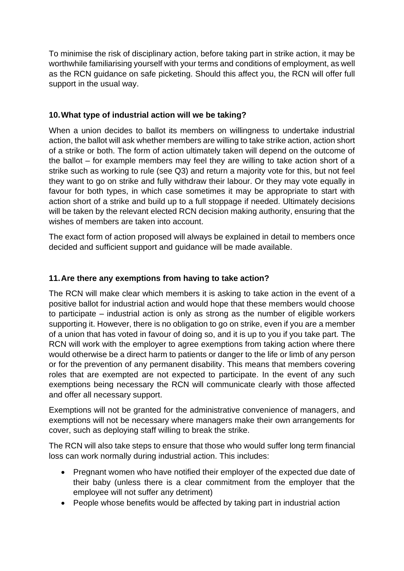To minimise the risk of disciplinary action, before taking part in strike action, it may be worthwhile familiarising yourself with your terms and conditions of employment, as well as the RCN guidance on safe picketing. Should this affect you, the RCN will offer full support in the usual way.

## **10.What type of industrial action will we be taking?**

When a union decides to ballot its members on willingness to undertake industrial action, the ballot will ask whether members are willing to take strike action, action short of a strike or both. The form of action ultimately taken will depend on the outcome of the ballot – for example members may feel they are willing to take action short of a strike such as working to rule (see Q3) and return a majority vote for this, but not feel they want to go on strike and fully withdraw their labour. Or they may vote equally in favour for both types, in which case sometimes it may be appropriate to start with action short of a strike and build up to a full stoppage if needed. Ultimately decisions will be taken by the relevant elected RCN decision making authority, ensuring that the wishes of members are taken into account.

The exact form of action proposed will always be explained in detail to members once decided and sufficient support and guidance will be made available.

#### **11.Are there any exemptions from having to take action?**

The RCN will make clear which members it is asking to take action in the event of a positive ballot for industrial action and would hope that these members would choose to participate – industrial action is only as strong as the number of eligible workers supporting it. However, there is no obligation to go on strike, even if you are a member of a union that has voted in favour of doing so, and it is up to you if you take part. The RCN will work with the employer to agree exemptions from taking action where there would otherwise be a direct harm to patients or danger to the life or limb of any person or for the prevention of any permanent disability. This means that members covering roles that are exempted are not expected to participate. In the event of any such exemptions being necessary the RCN will communicate clearly with those affected and offer all necessary support.

Exemptions will not be granted for the administrative convenience of managers, and exemptions will not be necessary where managers make their own arrangements for cover, such as deploying staff willing to break the strike.

The RCN will also take steps to ensure that those who would suffer long term financial loss can work normally during industrial action. This includes:

- Pregnant women who have notified their employer of the expected due date of their baby (unless there is a clear commitment from the employer that the employee will not suffer any detriment)
- People whose benefits would be affected by taking part in industrial action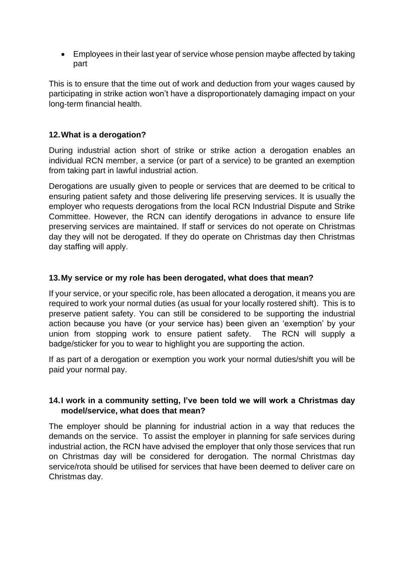• Employees in their last year of service whose pension maybe affected by taking part

This is to ensure that the time out of work and deduction from your wages caused by participating in strike action won't have a disproportionately damaging impact on your long-term financial health.

#### **12.What is a derogation?**

During industrial action short of strike or strike action a derogation enables an individual RCN member, a service (or part of a service) to be granted an exemption from taking part in lawful industrial action.

Derogations are usually given to people or services that are deemed to be critical to ensuring patient safety and those delivering life preserving services. It is usually the employer who requests derogations from the local RCN Industrial Dispute and Strike Committee. However, the RCN can identify derogations in advance to ensure life preserving services are maintained. If staff or services do not operate on Christmas day they will not be derogated. If they do operate on Christmas day then Christmas day staffing will apply.

#### **13.My service or my role has been derogated, what does that mean?**

If your service, or your specific role, has been allocated a derogation, it means you are required to work your normal duties (as usual for your locally rostered shift). This is to preserve patient safety. You can still be considered to be supporting the industrial action because you have (or your service has) been given an 'exemption' by your union from stopping work to ensure patient safety. The RCN will supply a badge/sticker for you to wear to highlight you are supporting the action.

If as part of a derogation or exemption you work your normal duties/shift you will be paid your normal pay.

#### **14.I work in a community setting, I've been told we will work a Christmas day model/service, what does that mean?**

The employer should be planning for industrial action in a way that reduces the demands on the service. To assist the employer in planning for safe services during industrial action, the RCN have advised the employer that only those services that run on Christmas day will be considered for derogation. The normal Christmas day service/rota should be utilised for services that have been deemed to deliver care on Christmas day.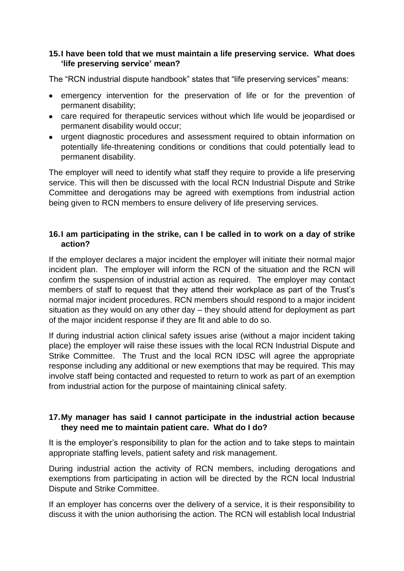#### **15.I have been told that we must maintain a life preserving service. What does 'life preserving service' mean?**

The "RCN industrial dispute handbook" states that "life preserving services" means:

- emergency intervention for the preservation of life or for the prevention of permanent disability;
- care required for therapeutic services without which life would be jeopardised or permanent disability would occur;
- urgent diagnostic procedures and assessment required to obtain information on potentially life-threatening conditions or conditions that could potentially lead to permanent disability.

The employer will need to identify what staff they require to provide a life preserving service. This will then be discussed with the local RCN Industrial Dispute and Strike Committee and derogations may be agreed with exemptions from industrial action being given to RCN members to ensure delivery of life preserving services.

#### **16.I am participating in the strike, can I be called in to work on a day of strike action?**

If the employer declares a major incident the employer will initiate their normal major incident plan. The employer will inform the RCN of the situation and the RCN will confirm the suspension of industrial action as required. The employer may contact members of staff to request that they attend their workplace as part of the Trust's normal major incident procedures. RCN members should respond to a major incident situation as they would on any other day – they should attend for deployment as part of the major incident response if they are fit and able to do so.

If during industrial action clinical safety issues arise (without a major incident taking place) the employer will raise these issues with the local RCN Industrial Dispute and Strike Committee. The Trust and the local RCN IDSC will agree the appropriate response including any additional or new exemptions that may be required. This may involve staff being contacted and requested to return to work as part of an exemption from industrial action for the purpose of maintaining clinical safety.

#### **17.My manager has said I cannot participate in the industrial action because they need me to maintain patient care. What do I do?**

It is the employer's responsibility to plan for the action and to take steps to maintain appropriate staffing levels, patient safety and risk management.

During industrial action the activity of RCN members, including derogations and exemptions from participating in action will be directed by the RCN local Industrial Dispute and Strike Committee.

If an employer has concerns over the delivery of a service, it is their responsibility to discuss it with the union authorising the action. The RCN will establish local Industrial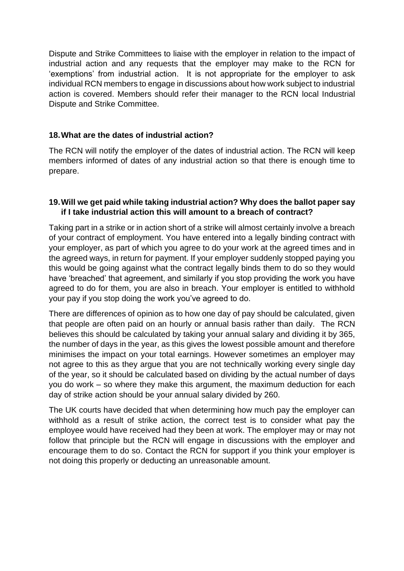Dispute and Strike Committees to liaise with the employer in relation to the impact of industrial action and any requests that the employer may make to the RCN for 'exemptions' from industrial action. It is not appropriate for the employer to ask individual RCN members to engage in discussions about how work subject to industrial action is covered. Members should refer their manager to the RCN local Industrial Dispute and Strike Committee.

#### **18.What are the dates of industrial action?**

The RCN will notify the employer of the dates of industrial action. The RCN will keep members informed of dates of any industrial action so that there is enough time to prepare.

#### **19.Will we get paid while taking industrial action? Why does the ballot paper say if I take industrial action this will amount to a breach of contract?**

Taking part in a strike or in action short of a strike will almost certainly involve a breach of your contract of employment. You have entered into a legally binding contract with your employer, as part of which you agree to do your work at the agreed times and in the agreed ways, in return for payment. If your employer suddenly stopped paying you this would be going against what the contract legally binds them to do so they would have 'breached' that agreement, and similarly if you stop providing the work you have agreed to do for them, you are also in breach. Your employer is entitled to withhold your pay if you stop doing the work you've agreed to do.

There are differences of opinion as to how one day of pay should be calculated, given that people are often paid on an hourly or annual basis rather than daily. The RCN believes this should be calculated by taking your annual salary and dividing it by 365, the number of days in the year, as this gives the lowest possible amount and therefore minimises the impact on your total earnings. However sometimes an employer may not agree to this as they argue that you are not technically working every single day of the year, so it should be calculated based on dividing by the actual number of days you do work – so where they make this argument, the maximum deduction for each day of strike action should be your annual salary divided by 260.

The UK courts have decided that when determining how much pay the employer can withhold as a result of strike action, the correct test is to consider what pay the employee would have received had they been at work. The employer may or may not follow that principle but the RCN will engage in discussions with the employer and encourage them to do so. Contact the RCN for support if you think your employer is not doing this properly or deducting an unreasonable amount.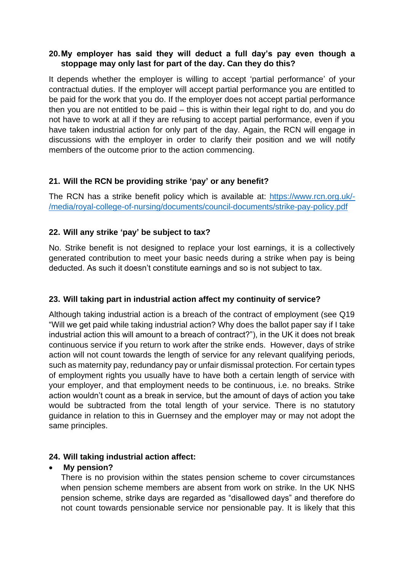#### **20.My employer has said they will deduct a full day's pay even though a stoppage may only last for part of the day. Can they do this?**

It depends whether the employer is willing to accept 'partial performance' of your contractual duties. If the employer will accept partial performance you are entitled to be paid for the work that you do. If the employer does not accept partial performance then you are not entitled to be paid – this is within their legal right to do, and you do not have to work at all if they are refusing to accept partial performance, even if you have taken industrial action for only part of the day. Again, the RCN will engage in discussions with the employer in order to clarify their position and we will notify members of the outcome prior to the action commencing.

## **21. Will the RCN be providing strike 'pay' or any benefit?**

The RCN has a strike benefit policy which is available at: [https://www.rcn.org.uk/-](https://www.rcn.org.uk/-/media/royal-college-of-nursing/documents/council-documents/strike-pay-policy.pdf) [/media/royal-college-of-nursing/documents/council-documents/strike-pay-policy.pdf](https://www.rcn.org.uk/-/media/royal-college-of-nursing/documents/council-documents/strike-pay-policy.pdf)

#### **22. Will any strike 'pay' be subject to tax?**

No. Strike benefit is not designed to replace your lost earnings, it is a collectively generated contribution to meet your basic needs during a strike when pay is being deducted. As such it doesn't constitute earnings and so is not subject to tax.

#### **23. Will taking part in industrial action affect my continuity of service?**

Although taking industrial action is a breach of the contract of employment (see Q19 "Will we get paid while taking industrial action? Why does the ballot paper say if I take industrial action this will amount to a breach of contract?"), in the UK it does not break continuous service if you return to work after the strike ends. However, days of strike action will not count towards the length of service for any relevant qualifying periods, such as maternity pay, redundancy pay or unfair dismissal protection. For certain types of employment rights you usually have to have both a certain length of service with your employer, and that employment needs to be continuous, i.e. no breaks. Strike action wouldn't count as a break in service, but the amount of days of action you take would be subtracted from the total length of your service. There is no statutory guidance in relation to this in Guernsey and the employer may or may not adopt the same principles.

#### **24. Will taking industrial action affect:**

#### • **My pension?**

There is no provision within the states pension scheme to cover circumstances when pension scheme members are absent from work on strike. In the UK NHS pension scheme, strike days are regarded as "disallowed days" and therefore do not count towards pensionable service nor pensionable pay. It is likely that this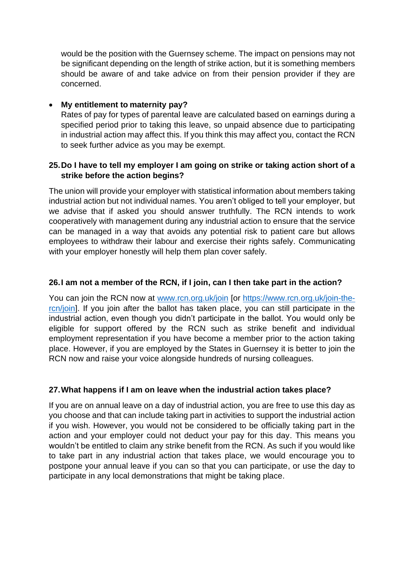would be the position with the Guernsey scheme. The impact on pensions may not be significant depending on the length of strike action, but it is something members should be aware of and take advice on from their pension provider if they are concerned.

#### • **My entitlement to maternity pay?**

Rates of pay for types of parental leave are calculated based on earnings during a specified period prior to taking this leave, so unpaid absence due to participating in industrial action may affect this. If you think this may affect you, contact the RCN to seek further advice as you may be exempt.

#### **25.Do I have to tell my employer I am going on strike or taking action short of a strike before the action begins?**

The union will provide your employer with statistical information about members taking industrial action but not individual names. You aren't obliged to tell your employer, but we advise that if asked you should answer truthfully. The RCN intends to work cooperatively with management during any industrial action to ensure that the service can be managed in a way that avoids any potential risk to patient care but allows employees to withdraw their labour and exercise their rights safely. Communicating with your employer honestly will help them plan cover safely.

#### **26.I am not a member of the RCN, if I join, can I then take part in the action?**

You can join the RCN now at [www.rcn.org.uk/join](http://www.rcn.org.uk/join) [or [https://www.rcn.org.uk/join-the](https://www.rcn.org.uk/join-the-rcn/join)[rcn/join\]](https://www.rcn.org.uk/join-the-rcn/join). If you join after the ballot has taken place, you can still participate in the industrial action, even though you didn't participate in the ballot. You would only be eligible for support offered by the RCN such as strike benefit and individual employment representation if you have become a member prior to the action taking place. However, if you are employed by the States in Guernsey it is better to join the RCN now and raise your voice alongside hundreds of nursing colleagues.

#### **27.What happens if I am on leave when the industrial action takes place?**

If you are on annual leave on a day of industrial action, you are free to use this day as you choose and that can include taking part in activities to support the industrial action if you wish. However, you would not be considered to be officially taking part in the action and your employer could not deduct your pay for this day. This means you wouldn't be entitled to claim any strike benefit from the RCN. As such if you would like to take part in any industrial action that takes place, we would encourage you to postpone your annual leave if you can so that you can participate, or use the day to participate in any local demonstrations that might be taking place.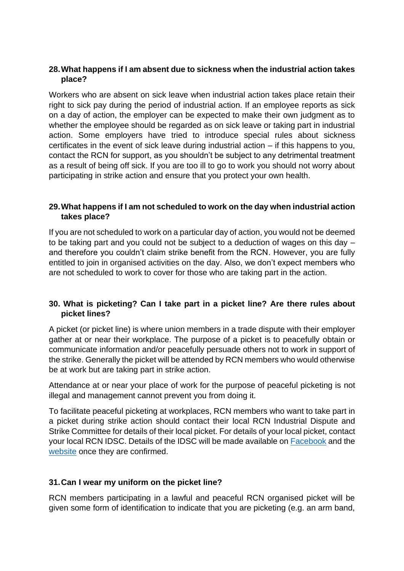#### **28.What happens if I am absent due to sickness when the industrial action takes place?**

Workers who are absent on sick leave when industrial action takes place retain their right to sick pay during the period of industrial action. If an employee reports as sick on a day of action, the employer can be expected to make their own judgment as to whether the employee should be regarded as on sick leave or taking part in industrial action. Some employers have tried to introduce special rules about sickness certificates in the event of sick leave during industrial action – if this happens to you, contact the RCN for support, as you shouldn't be subject to any detrimental treatment as a result of being off sick. If you are too ill to go to work you should not worry about participating in strike action and ensure that you protect your own health.

#### **29.What happens if I am not scheduled to work on the day when industrial action takes place?**

If you are not scheduled to work on a particular day of action, you would not be deemed to be taking part and you could not be subject to a deduction of wages on this day – and therefore you couldn't claim strike benefit from the RCN. However, you are fully entitled to join in organised activities on the day. Also, we don't expect members who are not scheduled to work to cover for those who are taking part in the action.

## **30. What is picketing? Can I take part in a picket line? Are there rules about picket lines?**

A picket (or picket line) is where union members in a trade dispute with their employer gather at or near their workplace. The purpose of a picket is to peacefully obtain or communicate information and/or peacefully persuade others not to work in support of the strike. Generally the picket will be attended by RCN members who would otherwise be at work but are taking part in strike action.

Attendance at or near your place of work for the purpose of peaceful picketing is not illegal and management cannot prevent you from doing it.

To facilitate peaceful picketing at workplaces, RCN members who want to take part in a picket during strike action should contact their local RCN Industrial Dispute and Strike Committee for details of their local picket. For details of your local picket, contact your local RCN IDSC. Details of the IDSC will be made available on [Facebook](https://www.facebook.com/groups/RCNGuernsey/) and the [website](https://www.rcn.org.uk/southeast/get-involved/branches/guernsey) once they are confirmed.

#### **31.Can I wear my uniform on the picket line?**

RCN members participating in a lawful and peaceful RCN organised picket will be given some form of identification to indicate that you are picketing (e.g. an arm band,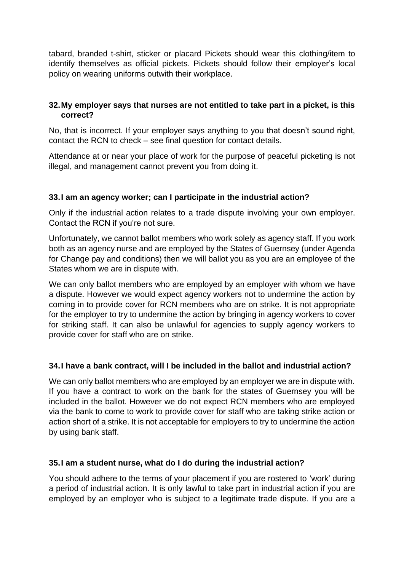tabard, branded t-shirt, sticker or placard Pickets should wear this clothing/item to identify themselves as official pickets. Pickets should follow their employer's local policy on wearing uniforms outwith their workplace.

#### **32.My employer says that nurses are not entitled to take part in a picket, is this correct?**

No, that is incorrect. If your employer says anything to you that doesn't sound right, contact the RCN to check – see final question for contact details.

Attendance at or near your place of work for the purpose of peaceful picketing is not illegal, and management cannot prevent you from doing it.

#### **33.I am an agency worker; can I participate in the industrial action?**

Only if the industrial action relates to a trade dispute involving your own employer. Contact the RCN if you're not sure.

Unfortunately, we cannot ballot members who work solely as agency staff. If you work both as an agency nurse and are employed by the States of Guernsey (under Agenda for Change pay and conditions) then we will ballot you as you are an employee of the States whom we are in dispute with.

We can only ballot members who are employed by an employer with whom we have a dispute. However we would expect agency workers not to undermine the action by coming in to provide cover for RCN members who are on strike. It is not appropriate for the employer to try to undermine the action by bringing in agency workers to cover for striking staff. It can also be unlawful for agencies to supply agency workers to provide cover for staff who are on strike.

#### **34.I have a bank contract, will I be included in the ballot and industrial action?**

We can only ballot members who are employed by an employer we are in dispute with. If you have a contract to work on the bank for the states of Guernsey you will be included in the ballot. However we do not expect RCN members who are employed via the bank to come to work to provide cover for staff who are taking strike action or action short of a strike. It is not acceptable for employers to try to undermine the action by using bank staff.

#### **35.I am a student nurse, what do I do during the industrial action?**

You should adhere to the terms of your placement if you are rostered to 'work' during a period of industrial action. It is only lawful to take part in industrial action if you are employed by an employer who is subject to a legitimate trade dispute. If you are a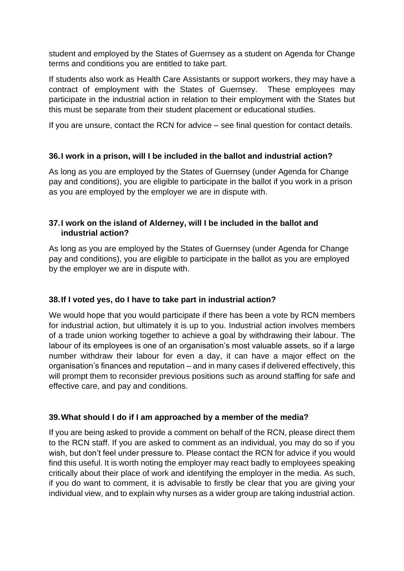student and employed by the States of Guernsey as a student on Agenda for Change terms and conditions you are entitled to take part.

If students also work as Health Care Assistants or support workers, they may have a contract of employment with the States of Guernsey. These employees may participate in the industrial action in relation to their employment with the States but this must be separate from their student placement or educational studies.

If you are unsure, contact the RCN for advice – see final question for contact details.

#### **36.I work in a prison, will I be included in the ballot and industrial action?**

As long as you are employed by the States of Guernsey (under Agenda for Change pay and conditions), you are eligible to participate in the ballot if you work in a prison as you are employed by the employer we are in dispute with.

## **37.I work on the island of Alderney, will I be included in the ballot and industrial action?**

As long as you are employed by the States of Guernsey (under Agenda for Change pay and conditions), you are eligible to participate in the ballot as you are employed by the employer we are in dispute with.

# **38.If I voted yes, do I have to take part in industrial action?**

We would hope that you would participate if there has been a vote by RCN members for industrial action, but ultimately it is up to you. Industrial action involves members of a trade union working together to achieve a goal by withdrawing their labour. The labour of its employees is one of an organisation's most valuable assets, so if a large number withdraw their labour for even a day, it can have a major effect on the organisation's finances and reputation – and in many cases if delivered effectively, this will prompt them to reconsider previous positions such as around staffing for safe and effective care, and pay and conditions.

#### **39.What should I do if I am approached by a member of the media?**

If you are being asked to provide a comment on behalf of the RCN, please direct them to the RCN staff. If you are asked to comment as an individual, you may do so if you wish, but don't feel under pressure to. Please contact the RCN for advice if you would find this useful. It is worth noting the employer may react badly to employees speaking critically about their place of work and identifying the employer in the media. As such, if you do want to comment, it is advisable to firstly be clear that you are giving your individual view, and to explain why nurses as a wider group are taking industrial action.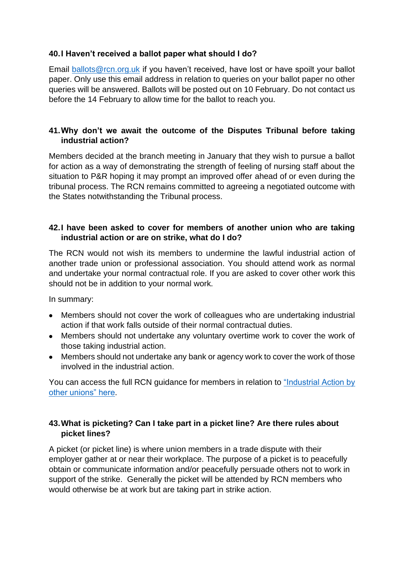#### **40.I Haven't received a ballot paper what should I do?**

Email [ballots@rcn.org.uk](mailto:ballots@rcn.org.uk) if you haven't received, have lost or have spoilt your ballot paper. Only use this email address in relation to queries on your ballot paper no other queries will be answered. Ballots will be posted out on 10 February. Do not contact us before the 14 February to allow time for the ballot to reach you.

#### **41.Why don't we await the outcome of the Disputes Tribunal before taking industrial action?**

Members decided at the branch meeting in January that they wish to pursue a ballot for action as a way of demonstrating the strength of feeling of nursing staff about the situation to P&R hoping it may prompt an improved offer ahead of or even during the tribunal process. The RCN remains committed to agreeing a negotiated outcome with the States notwithstanding the Tribunal process.

#### **42.I have been asked to cover for members of another union who are taking industrial action or are on strike, what do I do?**

The RCN would not wish its members to undermine the lawful industrial action of another trade union or professional association. You should attend work as normal and undertake your normal contractual role. If you are asked to cover other work this should not be in addition to your normal work.

In summary:

- Members should not cover the work of colleagues who are undertaking industrial action if that work falls outside of their normal contractual duties.
- Members should not undertake any voluntary overtime work to cover the work of those taking industrial action.
- Members should not undertake any bank or agency work to cover the work of those involved in the industrial action.

You can access the full RCN guidance for members in relation to ["Industrial Action by](https://www.rcn.org.uk/professional-development/publications/pub-004745)  [other unions" here.](https://www.rcn.org.uk/professional-development/publications/pub-004745)

#### **43.What is picketing? Can I take part in a picket line? Are there rules about picket lines?**

A picket (or picket line) is where union members in a trade dispute with their employer gather at or near their workplace. The purpose of a picket is to peacefully obtain or communicate information and/or peacefully persuade others not to work in support of the strike. Generally the picket will be attended by RCN members who would otherwise be at work but are taking part in strike action.